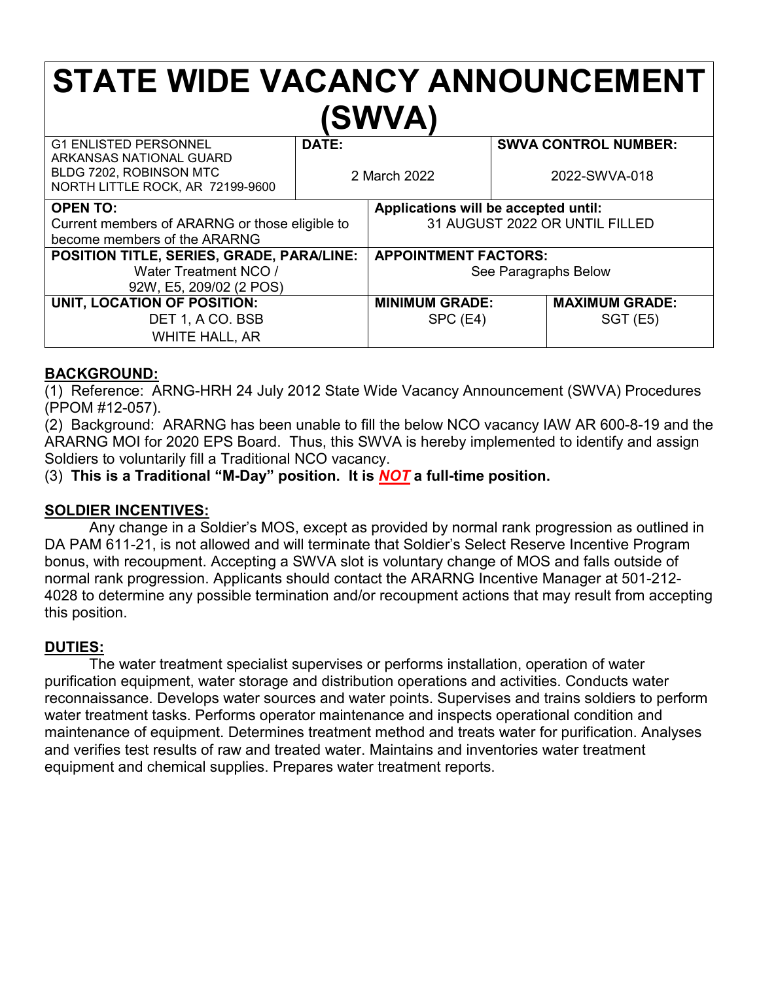# **STATE WIDE VACANCY ANNOUNCEMENT (SWVA)**

| <b>G1 ENLISTED PERSONNEL</b><br>ARKANSAS NATIONAL GUARD<br>BLDG 7202, ROBINSON MTC<br>NORTH LITTLE ROCK, AR 72199-9600 | DATE:<br>2 March 2022 |                                      | <b>SWVA CONTROL NUMBER:</b><br>2022-SWVA-018 |                       |
|------------------------------------------------------------------------------------------------------------------------|-----------------------|--------------------------------------|----------------------------------------------|-----------------------|
| <b>OPEN TO:</b>                                                                                                        |                       | Applications will be accepted until: |                                              |                       |
| Current members of ARARNG or those eligible to                                                                         |                       | 31 AUGUST 2022 OR UNTIL FILLED       |                                              |                       |
| become members of the ARARNG                                                                                           |                       |                                      |                                              |                       |
| POSITION TITLE, SERIES, GRADE, PARA/LINE:                                                                              |                       | <b>APPOINTMENT FACTORS:</b>          |                                              |                       |
| Water Treatment NCO /                                                                                                  |                       | See Paragraphs Below                 |                                              |                       |
| 92W, E5, 209/02 (2 POS)                                                                                                |                       |                                      |                                              |                       |
| UNIT, LOCATION OF POSITION:                                                                                            |                       | <b>MINIMUM GRADE:</b>                |                                              | <b>MAXIMUM GRADE:</b> |
| DET 1, A CO. BSB                                                                                                       |                       | SPC (E4)                             |                                              | <b>SGT (E5)</b>       |
| <b>WHITE HALL, AR</b>                                                                                                  |                       |                                      |                                              |                       |

#### **BACKGROUND:**

(1) Reference: ARNG-HRH 24 July 2012 State Wide Vacancy Announcement (SWVA) Procedures (PPOM #12-057).

(2) Background: ARARNG has been unable to fill the below NCO vacancy IAW AR 600-8-19 and the ARARNG MOI for 2020 EPS Board. Thus, this SWVA is hereby implemented to identify and assign Soldiers to voluntarily fill a Traditional NCO vacancy.

(3) **This is a Traditional "M-Day" position. It is** *NOT* **a full-time position.**

## **SOLDIER INCENTIVES:**

Any change in a Soldier's MOS, except as provided by normal rank progression as outlined in DA PAM 611-21, is not allowed and will terminate that Soldier's Select Reserve Incentive Program bonus, with recoupment. Accepting a SWVA slot is voluntary change of MOS and falls outside of normal rank progression. Applicants should contact the ARARNG Incentive Manager at 501-212- 4028 to determine any possible termination and/or recoupment actions that may result from accepting this position.

## **DUTIES:**

The water treatment specialist supervises or performs installation, operation of water purification equipment, water storage and distribution operations and activities. Conducts water reconnaissance. Develops water sources and water points. Supervises and trains soldiers to perform water treatment tasks. Performs operator maintenance and inspects operational condition and maintenance of equipment. Determines treatment method and treats water for purification. Analyses and verifies test results of raw and treated water. Maintains and inventories water treatment equipment and chemical supplies. Prepares water treatment reports.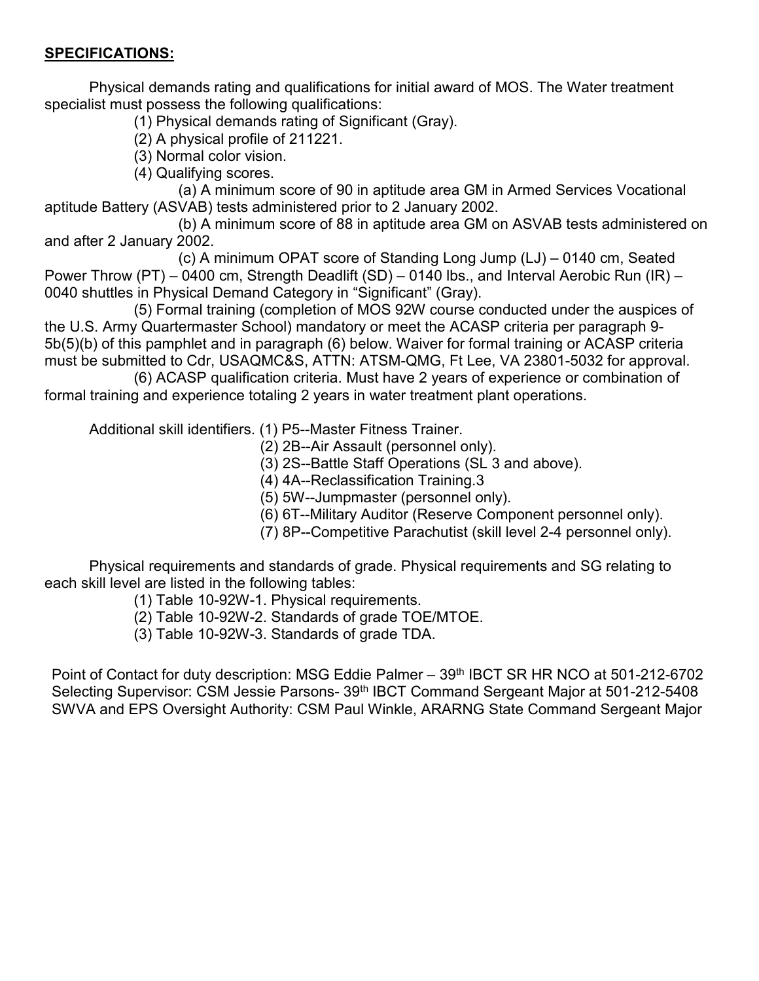#### **SPECIFICATIONS:**

Physical demands rating and qualifications for initial award of MOS. The Water treatment specialist must possess the following qualifications:

(1) Physical demands rating of Significant (Gray).

(2) A physical profile of 211221.

(3) Normal color vision.

(4) Qualifying scores.

(a) A minimum score of 90 in aptitude area GM in Armed Services Vocational aptitude Battery (ASVAB) tests administered prior to 2 January 2002.

(b) A minimum score of 88 in aptitude area GM on ASVAB tests administered on and after 2 January 2002.

(c) A minimum OPAT score of Standing Long Jump (LJ) – 0140 cm, Seated Power Throw (PT) – 0400 cm, Strength Deadlift (SD) – 0140 lbs., and Interval Aerobic Run (IR) – 0040 shuttles in Physical Demand Category in "Significant" (Gray).

(5) Formal training (completion of MOS 92W course conducted under the auspices of the U.S. Army Quartermaster School) mandatory or meet the ACASP criteria per paragraph 9- 5b(5)(b) of this pamphlet and in paragraph (6) below. Waiver for formal training or ACASP criteria must be submitted to Cdr, USAQMC&S, ATTN: ATSM-QMG, Ft Lee, VA 23801-5032 for approval.

(6) ACASP qualification criteria. Must have 2 years of experience or combination of formal training and experience totaling 2 years in water treatment plant operations.

Additional skill identifiers. (1) P5--Master Fitness Trainer.

(2) 2B--Air Assault (personnel only).

(3) 2S--Battle Staff Operations (SL 3 and above).

(4) 4A--Reclassification Training.3

(5) 5W--Jumpmaster (personnel only).

(6) 6T--Military Auditor (Reserve Component personnel only).

(7) 8P--Competitive Parachutist (skill level 2-4 personnel only).

Physical requirements and standards of grade. Physical requirements and SG relating to each skill level are listed in the following tables:

(1) Table 10-92W-1. Physical requirements.

- (2) Table 10-92W-2. Standards of grade TOE/MTOE.
- (3) Table 10-92W-3. Standards of grade TDA.

Point of Contact for duty description: MSG Eddie Palmer – 39<sup>th</sup> IBCT SR HR NCO at 501-212-6702 Selecting Supervisor: CSM Jessie Parsons- 39<sup>th</sup> IBCT Command Sergeant Major at 501-212-5408 SWVA and EPS Oversight Authority: CSM Paul Winkle, ARARNG State Command Sergeant Major